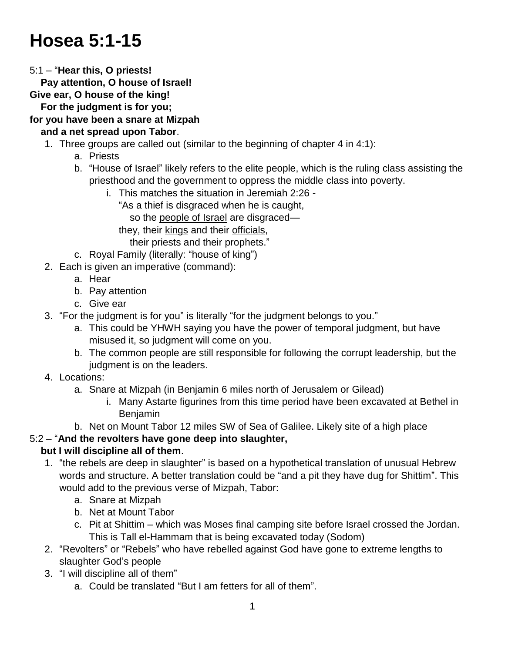# **Hosea 5:1-15**

5:1 – "**Hear this, O priests!**

 **Pay attention, O house of Israel!**

**Give ear, O house of the king!**

 **For the judgment is for you;**

**for you have been a snare at Mizpah and a net spread upon Tabor**.

- 1. Three groups are called out (similar to the beginning of chapter 4 in 4:1):
	- a. Priests
	- b. "House of Israel" likely refers to the elite people, which is the ruling class assisting the priesthood and the government to oppress the middle class into poverty.
		- i. This matches the situation in Jeremiah 2:26
			- "As a thief is disgraced when he is caught,

so the people of Israel are disgraced—

they, their kings and their officials,

- their priests and their prophets."
- c. Royal Family (literally: "house of king")
- 2. Each is given an imperative (command):
	- a. Hear
	- b. Pay attention
	- c. Give ear
- 3. "For the judgment is for you" is literally "for the judgment belongs to you."
	- a. This could be YHWH saying you have the power of temporal judgment, but have misused it, so judgment will come on you.
	- b. The common people are still responsible for following the corrupt leadership, but the judgment is on the leaders.
- 4. Locations:
	- a. Snare at Mizpah (in Benjamin 6 miles north of Jerusalem or Gilead)
		- i. Many Astarte figurines from this time period have been excavated at Bethel in Benjamin
	- b. Net on Mount Tabor 12 miles SW of Sea of Galilee. Likely site of a high place

# 5:2 – "**And the revolters have gone deep into slaughter,**

# **but I will discipline all of them**.

- 1. "the rebels are deep in slaughter" is based on a hypothetical translation of unusual Hebrew words and structure. A better translation could be "and a pit they have dug for Shittim". This would add to the previous verse of Mizpah, Tabor:
	- a. Snare at Mizpah
	- b. Net at Mount Tabor
	- c. Pit at Shittim which was Moses final camping site before Israel crossed the Jordan. This is Tall el-Hammam that is being excavated today (Sodom)
- 2. "Revolters" or "Rebels" who have rebelled against God have gone to extreme lengths to slaughter God's people
- 3. "I will discipline all of them"
	- a. Could be translated "But I am fetters for all of them".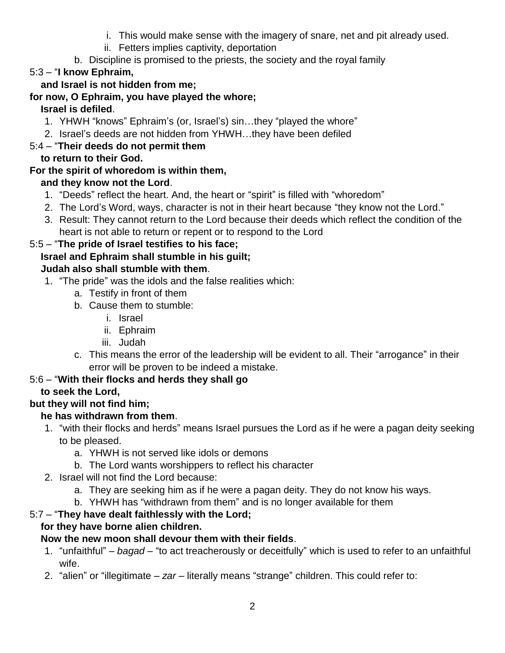- i. This would make sense with the imagery of snare, net and pit already used.
- ii. Fetters implies captivity, deportation
- b. Discipline is promised to the priests, the society and the royal family

# 5:3 – "**I know Ephraim,**

## **and Israel is not hidden from me;**

## **for now, O Ephraim, you have played the whore;**

# **Israel is defiled**.

- 1. YHWH "knows" Ephraim's (or, Israel's) sin…they "played the whore"
- 2. Israel's deeds are not hidden from YHWH…they have been defiled

# 5:4 – "**Their deeds do not permit them**

#### **to return to their God.**

# **For the spirit of whoredom is within them,**

#### **and they know not the Lord**.

- 1. "Deeds" reflect the heart. And, the heart or "spirit" is filled with "whoredom"
- 2. The Lord's Word, ways, character is not in their heart because "they know not the Lord."
- 3. Result: They cannot return to the Lord because their deeds which reflect the condition of the heart is not able to return or repent or to respond to the Lord

#### 5:5 – "**The pride of Israel testifies to his face;**

#### **Israel and Ephraim shall stumble in his guilt;**

#### **Judah also shall stumble with them**.

- 1. "The pride" was the idols and the false realities which:
	- a. Testify in front of them
	- b. Cause them to stumble:
		- i. Israel
		- ii. Ephraim
		- iii. Judah
	- c. This means the error of the leadership will be evident to all. Their "arrogance" in their error will be proven to be indeed a mistake.

#### 5:6 – "**With their flocks and herds they shall go**

# **to seek the Lord,**

#### **but they will not find him;**

#### **he has withdrawn from them**.

- 1. "with their flocks and herds" means Israel pursues the Lord as if he were a pagan deity seeking to be pleased.
	- a. YHWH is not served like idols or demons
	- b. The Lord wants worshippers to reflect his character
- 2. Israel will not find the Lord because:
	- a. They are seeking him as if he were a pagan deity. They do not know his ways.
	- b. YHWH has "withdrawn from them" and is no longer available for them

# 5:7 – "**They have dealt faithlessly with the Lord;**

# **for they have borne alien children.**

# **Now the new moon shall devour them with their fields**.

- 1. "unfaithful" *bagad* "to act treacherously or deceitfully" which is used to refer to an unfaithful wife.
- 2. "alien" or "illegitimate *zar* literally means "strange" children. This could refer to: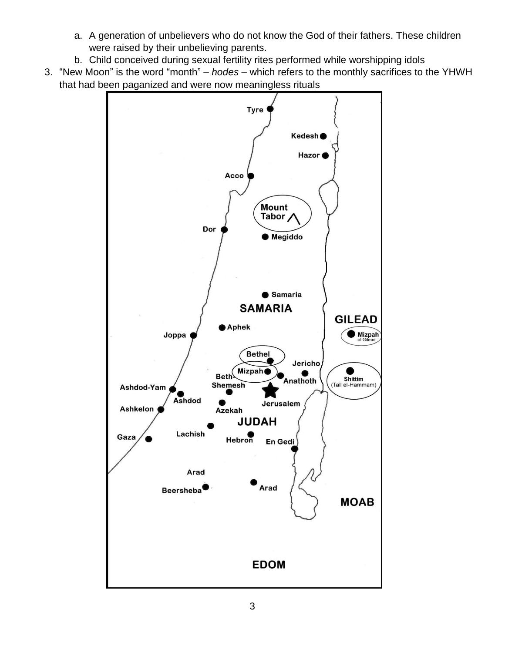- a. A generation of unbelievers who do not know the God of their fathers. These children were raised by their unbelieving parents.
- b. Child conceived during sexual fertility rites performed while worshipping idols
- 3. "New Moon" is the word "month" *hodes* which refers to the monthly sacrifices to the YHWH that had been paganized and were now meaningless rituals